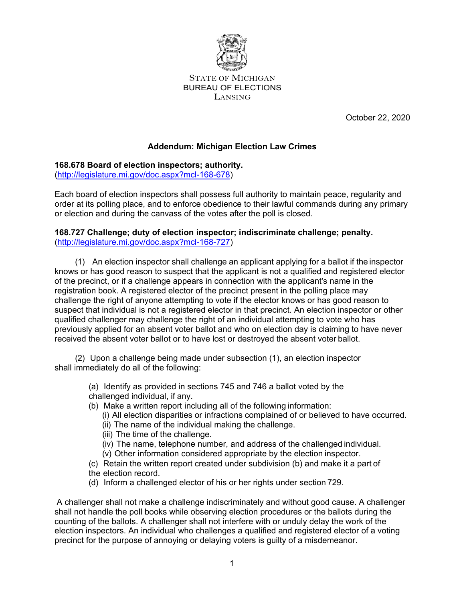

STATE OF MICHIGAN BUREAU OF ELECTIONS LANSING

October 22, 2020

# **Addendum: Michigan Election Law Crimes**

**168.678 Board of election inspectors; authority.**

[\(http://legislature.mi.gov/doc.aspx?mcl-168-678\)](http://legislature.mi.gov/doc.aspx?mcl-168-678))

Each board of election inspectors shall possess full authority to maintain peace, regularity and order at its polling place, and to enforce obedience to their lawful commands during any primary or election and during the canvass of the votes after the poll is closed.

## **168.727 Challenge; duty of election inspector; indiscriminate challenge; penalty.** [\(http://legislature.mi.gov/doc.aspx?mcl-168-727\)](http://legislature.mi.gov/doc.aspx?mcl-168-727))

(1) An election inspector shall challenge an applicant applying for a ballot if the inspector knows or has good reason to suspect that the applicant is not a qualified and registered elector of the precinct, or if a challenge appears in connection with the applicant's name in the registration book. A registered elector of the precinct present in the polling place may challenge the right of anyone attempting to vote if the elector knows or has good reason to suspect that individual is not a registered elector in that precinct. An election inspector or other qualified challenger may challenge the right of an individual attempting to vote who has previously applied for an absent voter ballot and who on election day is claiming to have never received the absent voter ballot or to have lost or destroyed the absent voter ballot.

(2) Upon a challenge being made under subsection (1), an election inspector shall immediately do all of the following:

> (a) Identify as provided in sections 745 and 746 a ballot voted by the challenged individual, if any.

- (b) Make a written report including all of the following information:
	- (i) All election disparities or infractions complained of or believed to have occurred.
	- (ii) The name of the individual making the challenge.
	- (iii) The time of the challenge.
	- (iv) The name, telephone number, and address of the challenged individual.
	- (v) Other information considered appropriate by the election inspector.
- (c) Retain the written report created under subdivision (b) and make it a part of
- the election record.
- (d) Inform a challenged elector of his or her rights under section 729.

A challenger shall not make a challenge indiscriminately and without good cause. A challenger shall not handle the poll books while observing election procedures or the ballots during the counting of the ballots. A challenger shall not interfere with or unduly delay the work of the election inspectors. An individual who challenges a qualified and registered elector of a voting precinct for the purpose of annoying or delaying voters is guilty of a misdemeanor.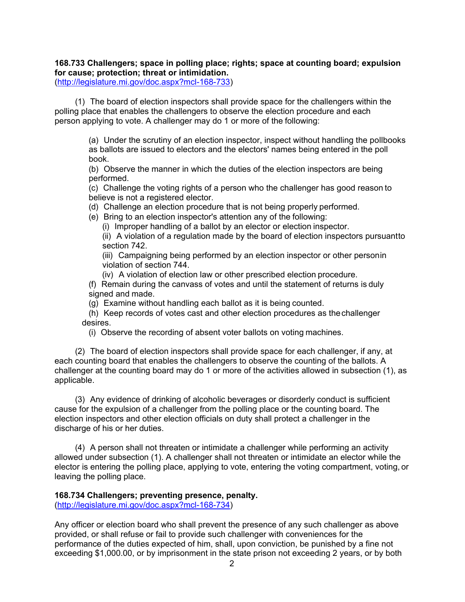# **168.733 Challengers; space in polling place; rights; space at counting board; expulsion for cause; protection; threat or intimidation.**

[\(http://legislature.mi.gov/doc.aspx?mcl-168-733\)](http://legislature.mi.gov/doc.aspx?mcl-168-733))

(1) The board of election inspectors shall provide space for the challengers within the polling place that enables the challengers to observe the election procedure and each person applying to vote. A challenger may do 1 or more of the following:

> (a) Under the scrutiny of an election inspector, inspect without handling the pollbooks as ballots are issued to electors and the electors' names being entered in the poll book.

(b) Observe the manner in which the duties of the election inspectors are being performed.

(c) Challenge the voting rights of a person who the challenger has good reason to believe is not a registered elector.

(d) Challenge an election procedure that is not being properly performed.

(e) Bring to an election inspector's attention any of the following:

(i) Improper handling of a ballot by an elector or election inspector.

(ii) A violation of a regulation made by the board of election inspectors pursuantto section 742.

(iii) Campaigning being performed by an election inspector or other personin violation of section 744.

(iv) A violation of election law or other prescribed election procedure.

(f) Remain during the canvass of votes and until the statement of returns is duly signed and made.

(g) Examine without handling each ballot as it is being counted.

(h) Keep records of votes cast and other election procedures as thechallenger desires.

(i) Observe the recording of absent voter ballots on voting machines.

(2) The board of election inspectors shall provide space for each challenger, if any, at each counting board that enables the challengers to observe the counting of the ballots. A challenger at the counting board may do 1 or more of the activities allowed in subsection (1), as applicable.

(3) Any evidence of drinking of alcoholic beverages or disorderly conduct is sufficient cause for the expulsion of a challenger from the polling place or the counting board. The election inspectors and other election officials on duty shall protect a challenger in the discharge of his or her duties.

(4) A person shall not threaten or intimidate a challenger while performing an activity allowed under subsection (1). A challenger shall not threaten or intimidate an elector while the elector is entering the polling place, applying to vote, entering the voting compartment, voting, or leaving the polling place.

# **168.734 Challengers; preventing presence, penalty.**

[\(http://legislature.mi.gov/doc.aspx?mcl-168-734\)](http://legislature.mi.gov/doc.aspx?mcl-168-734))

Any officer or election board who shall prevent the presence of any such challenger as above provided, or shall refuse or fail to provide such challenger with conveniences for the performance of the duties expected of him, shall, upon conviction, be punished by a fine not exceeding \$1,000.00, or by imprisonment in the state prison not exceeding 2 years, or by both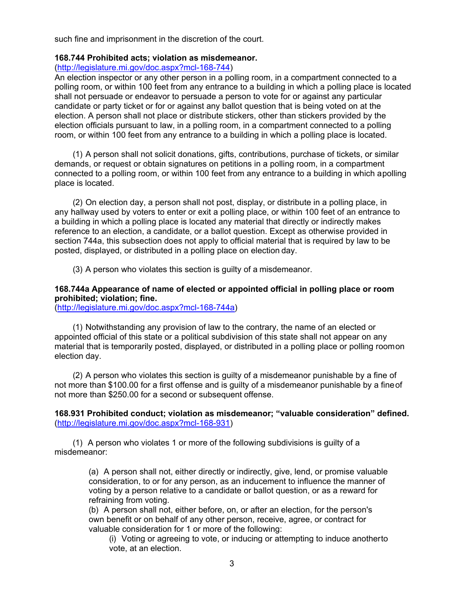such fine and imprisonment in the discretion of the court.

### **168.744 Prohibited acts; violation as misdemeanor.**

## [\(http://legislature.mi.gov/doc.aspx?mcl-168-744\)](http://legislature.mi.gov/doc.aspx?mcl-168-744))

An election inspector or any other person in a polling room, in a compartment connected to a polling room, or within 100 feet from any entrance to a building in which a polling place is located shall not persuade or endeavor to persuade a person to vote for or against any particular candidate or party ticket or for or against any ballot question that is being voted on at the election. A person shall not place or distribute stickers, other than stickers provided by the election officials pursuant to law, in a polling room, in a compartment connected to a polling room, or within 100 feet from any entrance to a building in which a polling place is located.

(1) A person shall not solicit donations, gifts, contributions, purchase of tickets, or similar demands, or request or obtain signatures on petitions in a polling room, in a compartment connected to a polling room, or within 100 feet from any entrance to a building in which apolling place is located.

(2) On election day, a person shall not post, display, or distribute in a polling place, in any hallway used by voters to enter or exit a polling place, or within 100 feet of an entrance to a building in which a polling place is located any material that directly or indirectly makes reference to an election, a candidate, or a ballot question. Except as otherwise provided in section 744a, this subsection does not apply to official material that is required by law to be posted, displayed, or distributed in a polling place on election day.

(3) A person who violates this section is guilty of a misdemeanor.

## **168.744a Appearance of name of elected or appointed official in polling place or room prohibited; violation; fine.**

[\(http://legislature.mi.gov/doc.aspx?mcl-168-744a\)](http://legislature.mi.gov/doc.aspx?mcl-168-744a))

(1) Notwithstanding any provision of law to the contrary, the name of an elected or appointed official of this state or a political subdivision of this state shall not appear on any material that is temporarily posted, displayed, or distributed in a polling place or polling roomon election day.

(2) A person who violates this section is guilty of a misdemeanor punishable by a fine of not more than \$100.00 for a first offense and is guilty of a misdemeanor punishable by a fineof not more than \$250.00 for a second or subsequent offense.

**168.931 Prohibited conduct; violation as misdemeanor; "valuable consideration" defined.** [\(http://legislature.mi.gov/doc.aspx?mcl-168-931\)](http://legislature.mi.gov/doc.aspx?mcl-168-931))

(1) A person who violates 1 or more of the following subdivisions is guilty of a misdemeanor:

> (a) A person shall not, either directly or indirectly, give, lend, or promise valuable consideration, to or for any person, as an inducement to influence the manner of voting by a person relative to a candidate or ballot question, or as a reward for refraining from voting.

(b) A person shall not, either before, on, or after an election, for the person's own benefit or on behalf of any other person, receive, agree, or contract for valuable consideration for 1 or more of the following:

(i) Voting or agreeing to vote, or inducing or attempting to induce anotherto vote, at an election.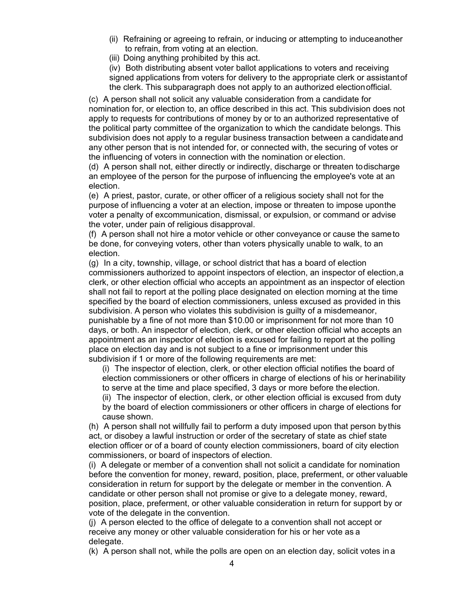- (ii) Refraining or agreeing to refrain, or inducing or attempting to induceanother to refrain, from voting at an election.
- (iii) Doing anything prohibited by this act.

(iv) Both distributing absent voter ballot applications to voters and receiving signed applications from voters for delivery to the appropriate clerk or assistantof the clerk. This subparagraph does not apply to an authorized electionofficial.

(c) A person shall not solicit any valuable consideration from a candidate for nomination for, or election to, an office described in this act. This subdivision does not apply to requests for contributions of money by or to an authorized representative of the political party committee of the organization to which the candidate belongs. This subdivision does not apply to a regular business transaction between a candidateand any other person that is not intended for, or connected with, the securing of votes or the influencing of voters in connection with the nomination or election.

(d) A person shall not, either directly or indirectly, discharge or threaten todischarge an employee of the person for the purpose of influencing the employee's vote at an election.

(e) A priest, pastor, curate, or other officer of a religious society shall not for the purpose of influencing a voter at an election, impose or threaten to impose uponthe voter a penalty of excommunication, dismissal, or expulsion, or command or advise the voter, under pain of religious disapproval.

(f) A person shall not hire a motor vehicle or other conveyance or cause the sameto be done, for conveying voters, other than voters physically unable to walk, to an election.

(g) In a city, township, village, or school district that has a board of election commissioners authorized to appoint inspectors of election, an inspector of election,a clerk, or other election official who accepts an appointment as an inspector of election shall not fail to report at the polling place designated on election morning at the time specified by the board of election commissioners, unless excused as provided in this subdivision. A person who violates this subdivision is guilty of a misdemeanor, punishable by a fine of not more than \$10.00 or imprisonment for not more than 10 days, or both. An inspector of election, clerk, or other election official who accepts an appointment as an inspector of election is excused for failing to report at the polling place on election day and is not subject to a fine or imprisonment under this subdivision if 1 or more of the following requirements are met:

(i) The inspector of election, clerk, or other election official notifies the board of election commissioners or other officers in charge of elections of his or herinability to serve at the time and place specified, 3 days or more before the election.

(ii) The inspector of election, clerk, or other election official is excused from duty by the board of election commissioners or other officers in charge of elections for cause shown.

(h) A person shall not willfully fail to perform a duty imposed upon that person bythis act, or disobey a lawful instruction or order of the secretary of state as chief state election officer or of a board of county election commissioners, board of city election commissioners, or board of inspectors of election.

(i) A delegate or member of a convention shall not solicit a candidate for nomination before the convention for money, reward, position, place, preferment, or other valuable consideration in return for support by the delegate or member in the convention. A candidate or other person shall not promise or give to a delegate money, reward, position, place, preferment, or other valuable consideration in return for support by or vote of the delegate in the convention.

(j) A person elected to the office of delegate to a convention shall not accept or receive any money or other valuable consideration for his or her vote as a delegate.

(k) A person shall not, while the polls are open on an election day, solicit votes in a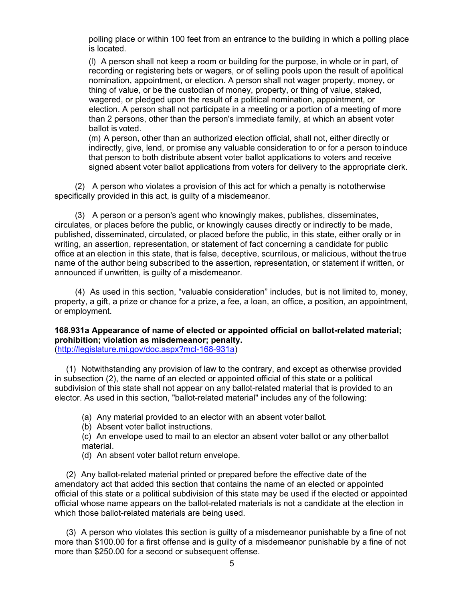polling place or within 100 feet from an entrance to the building in which a polling place is located.

(l) A person shall not keep a room or building for the purpose, in whole or in part, of recording or registering bets or wagers, or of selling pools upon the result of apolitical nomination, appointment, or election. A person shall not wager property, money, or thing of value, or be the custodian of money, property, or thing of value, staked, wagered, or pledged upon the result of a political nomination, appointment, or election. A person shall not participate in a meeting or a portion of a meeting of more than 2 persons, other than the person's immediate family, at which an absent voter ballot is voted.

(m) A person, other than an authorized election official, shall not, either directly or indirectly, give, lend, or promise any valuable consideration to or for a person toinduce that person to both distribute absent voter ballot applications to voters and receive signed absent voter ballot applications from voters for delivery to the appropriate clerk.

(2) A person who violates a provision of this act for which a penalty is nototherwise specifically provided in this act, is guilty of a misdemeanor.

(3) A person or a person's agent who knowingly makes, publishes, disseminates, circulates, or places before the public, or knowingly causes directly or indirectly to be made, published, disseminated, circulated, or placed before the public, in this state, either orally or in writing, an assertion, representation, or statement of fact concerning a candidate for public office at an election in this state, that is false, deceptive, scurrilous, or malicious, without the true name of the author being subscribed to the assertion, representation, or statement if written, or announced if unwritten, is guilty of a misdemeanor.

(4) As used in this section, "valuable consideration" includes, but is not limited to, money, property, a gift, a prize or chance for a prize, a fee, a loan, an office, a position, an appointment, or employment.

#### **168.931a Appearance of name of elected or appointed official on ballot-related material; prohibition; violation as misdemeanor; penalty.** [\(http://legislature.mi.gov/doc.aspx?mcl-168-931a\)](http://legislature.mi.gov/doc.aspx?mcl-168-931a))

(1) Notwithstanding any provision of law to the contrary, and except as otherwise provided

in subsection (2), the name of an elected or appointed official of this state or a political subdivision of this state shall not appear on any ballot-related material that is provided to an elector. As used in this section, "ballot-related material" includes any of the following:

(a) Any material provided to an elector with an absent voter ballot.

(b) Absent voter ballot instructions.

(c) An envelope used to mail to an elector an absent voter ballot or any otherballot material.

(d) An absent voter ballot return envelope.

(2) Any ballot-related material printed or prepared before the effective date of the amendatory act that added this section that contains the name of an elected or appointed official of this state or a political subdivision of this state may be used if the elected or appointed official whose name appears on the ballot-related materials is not a candidate at the election in which those ballot-related materials are being used.

(3) A person who violates this section is guilty of a misdemeanor punishable by a fine of not more than \$100.00 for a first offense and is guilty of a misdemeanor punishable by a fine of not more than \$250.00 for a second or subsequent offense.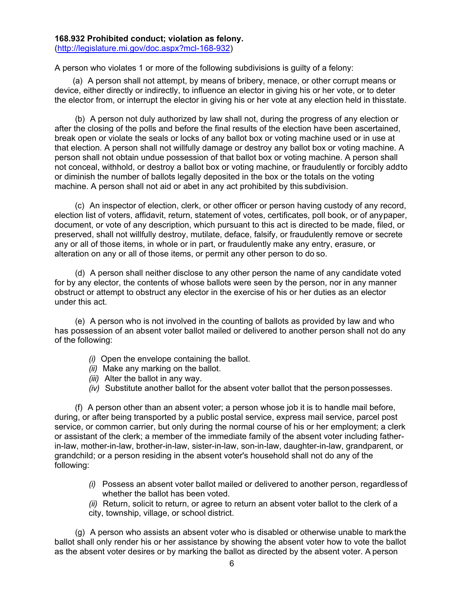# **168.932 Prohibited conduct; violation as felony.**

[\(http://legislature.mi.gov/doc.aspx?mcl-168-932\)](http://legislature.mi.gov/doc.aspx?mcl-168-932))

A person who violates 1 or more of the following subdivisions is guilty of a felony:

(a) A person shall not attempt, by means of bribery, menace, or other corrupt means or device, either directly or indirectly, to influence an elector in giving his or her vote, or to deter the elector from, or interrupt the elector in giving his or her vote at any election held in thisstate.

(b) A person not duly authorized by law shall not, during the progress of any election or after the closing of the polls and before the final results of the election have been ascertained, break open or violate the seals or locks of any ballot box or voting machine used or in use at that election. A person shall not willfully damage or destroy any ballot box or voting machine. A person shall not obtain undue possession of that ballot box or voting machine. A person shall not conceal, withhold, or destroy a ballot box or voting machine, or fraudulently or forcibly addto or diminish the number of ballots legally deposited in the box or the totals on the voting machine. A person shall not aid or abet in any act prohibited by this subdivision.

(c) An inspector of election, clerk, or other officer or person having custody of any record, election list of voters, affidavit, return, statement of votes, certificates, poll book, or of anypaper, document, or vote of any description, which pursuant to this act is directed to be made, filed, or preserved, shall not willfully destroy, mutilate, deface, falsify, or fraudulently remove or secrete any or all of those items, in whole or in part, or fraudulently make any entry, erasure, or alteration on any or all of those items, or permit any other person to do so.

(d) A person shall neither disclose to any other person the name of any candidate voted for by any elector, the contents of whose ballots were seen by the person, nor in any manner obstruct or attempt to obstruct any elector in the exercise of his or her duties as an elector under this act.

(e) A person who is not involved in the counting of ballots as provided by law and who has possession of an absent voter ballot mailed or delivered to another person shall not do any of the following:

- *(i)* Open the envelope containing the ballot.
- *(ii)* Make any marking on the ballot.
- *(iii)* Alter the ballot in any way.
- *(iv)* Substitute another ballot for the absent voter ballot that the personpossesses.

(f) A person other than an absent voter; a person whose job it is to handle mail before, during, or after being transported by a public postal service, express mail service, parcel post service, or common carrier, but only during the normal course of his or her employment; a clerk or assistant of the clerk; a member of the immediate family of the absent voter including fatherin-law, mother-in-law, brother-in-law, sister-in-law, son-in-law, daughter-in-law, grandparent, or grandchild; or a person residing in the absent voter's household shall not do any of the following:

- *(i)* Possess an absent voter ballot mailed or delivered to another person, regardlessof whether the ballot has been voted.
- *(ii)* Return, solicit to return, or agree to return an absent voter ballot to the clerk of a city, township, village, or school district.

(g) A person who assists an absent voter who is disabled or otherwise unable to markthe ballot shall only render his or her assistance by showing the absent voter how to vote the ballot as the absent voter desires or by marking the ballot as directed by the absent voter. A person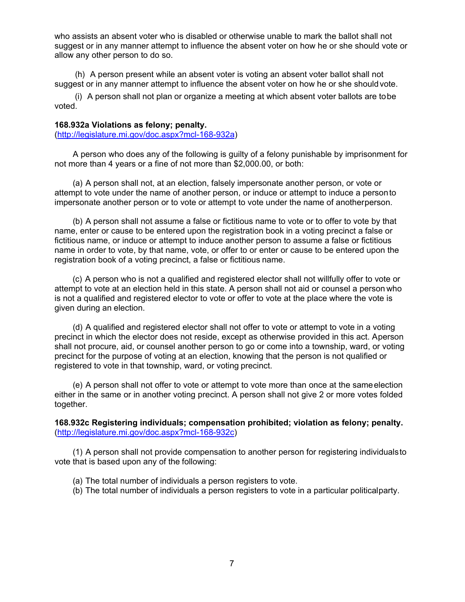who assists an absent voter who is disabled or otherwise unable to mark the ballot shall not suggest or in any manner attempt to influence the absent voter on how he or she should vote or allow any other person to do so.

(h) A person present while an absent voter is voting an absent voter ballot shall not suggest or in any manner attempt to influence the absent voter on how he or she shouldvote.

(i) A person shall not plan or organize a meeting at which absent voter ballots are tobe voted.

### **168.932a Violations as felony; penalty.**

[\(http://legislature.mi.gov/doc.aspx?mcl-168-932a\)](http://legislature.mi.gov/doc.aspx?mcl-168-932a))

A person who does any of the following is guilty of a felony punishable by imprisonment for not more than 4 years or a fine of not more than \$2,000.00, or both:

(a) A person shall not, at an election, falsely impersonate another person, or vote or attempt to vote under the name of another person, or induce or attempt to induce a personto impersonate another person or to vote or attempt to vote under the name of anotherperson.

(b) A person shall not assume a false or fictitious name to vote or to offer to vote by that name, enter or cause to be entered upon the registration book in a voting precinct a false or fictitious name, or induce or attempt to induce another person to assume a false or fictitious name in order to vote, by that name, vote, or offer to or enter or cause to be entered upon the registration book of a voting precinct, a false or fictitious name.

(c) A person who is not a qualified and registered elector shall not willfully offer to vote or attempt to vote at an election held in this state. A person shall not aid or counsel a person who is not a qualified and registered elector to vote or offer to vote at the place where the vote is given during an election.

(d) A qualified and registered elector shall not offer to vote or attempt to vote in a voting precinct in which the elector does not reside, except as otherwise provided in this act. Aperson shall not procure, aid, or counsel another person to go or come into a township, ward, or voting precinct for the purpose of voting at an election, knowing that the person is not qualified or registered to vote in that township, ward, or voting precinct.

(e) A person shall not offer to vote or attempt to vote more than once at the sameelection either in the same or in another voting precinct. A person shall not give 2 or more votes folded together.

**168.932c Registering individuals; compensation prohibited; violation as felony; penalty.** [\(http://legislature.mi.gov/doc.aspx?mcl-168-932c\)](http://legislature.mi.gov/doc.aspx?mcl-168-932c))

(1) A person shall not provide compensation to another person for registering individualsto vote that is based upon any of the following:

- (a) The total number of individuals a person registers to vote.
- (b) The total number of individuals a person registers to vote in a particular politicalparty.